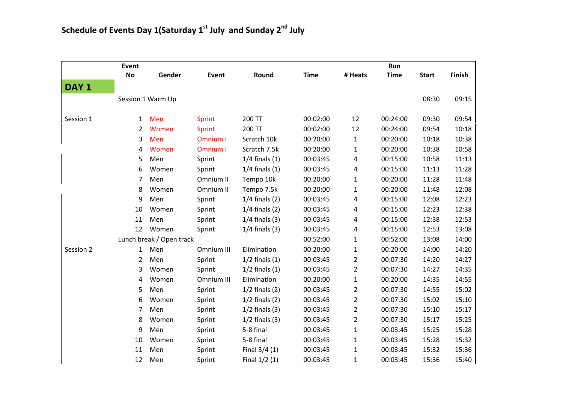|                  | Event                    |                   |               |                    |             |                | Run         |              |        |
|------------------|--------------------------|-------------------|---------------|--------------------|-------------|----------------|-------------|--------------|--------|
|                  | <b>No</b>                | Gender            | Event         | Round              | <b>Time</b> | # Heats        | <b>Time</b> | <b>Start</b> | Finish |
| DAY <sub>1</sub> |                          |                   |               |                    |             |                |             |              |        |
|                  |                          | Session 1 Warm Up |               |                    |             |                |             | 08:30        | 09:15  |
| Session 1        | $\mathbf{1}$             | Men               | <b>Sprint</b> | 200 TT             | 00:02:00    | 12             | 00:24:00    | 09:30        | 09:54  |
|                  | $2^{\circ}$              | Women             | <b>Sprint</b> | 200 TT             | 00:02:00    | 12             | 00:24:00    | 09:54        | 10:18  |
|                  | 3                        | Men               | Omnium I      | Scratch 10k        | 00:20:00    | $\mathbf{1}$   | 00:20:00    | 10:18        | 10:38  |
|                  | 4                        | Women             | Omnium I      | Scratch 7.5k       | 00:20:00    | $\mathbf{1}$   | 00:20:00    | 10:38        | 10:58  |
|                  | 5                        | Men               | Sprint        | $1/4$ finals $(1)$ | 00:03:45    | 4              | 00:15:00    | 10:58        | 11:13  |
|                  | 6                        | Women             | Sprint        | $1/4$ finals $(1)$ | 00:03:45    | 4              | 00:15:00    | 11:13        | 11:28  |
|                  | 7                        | Men               | Omnium II     | Tempo 10k          | 00:20:00    | $\mathbf 1$    | 00:20:00    | 11:28        | 11:48  |
|                  | 8                        | Women             | Omnium II     | Tempo 7.5k         | 00:20:00    | $\mathbf 1$    | 00:20:00    | 11:48        | 12:08  |
|                  | 9                        | Men               | Sprint        | $1/4$ finals $(2)$ | 00:03:45    | 4              | 00:15:00    | 12:08        | 12:23  |
|                  | 10                       | Women             | Sprint        | $1/4$ finals $(2)$ | 00:03:45    | 4              | 00:15:00    | 12:23        | 12:38  |
|                  | 11                       | Men               | Sprint        | $1/4$ finals $(3)$ | 00:03:45    | 4              | 00:15:00    | 12:38        | 12:53  |
|                  | 12                       | Women             | Sprint        | $1/4$ finals $(3)$ | 00:03:45    | 4              | 00:15:00    | 12:53        | 13:08  |
|                  | Lunch break / Open track |                   |               |                    | 00:52:00    | $\mathbf 1$    | 00:52:00    | 13:08        | 14:00  |
| Session 2        | 1                        | Men               | Omnium III    | Elimination        | 00:20:00    | $\mathbf{1}$   | 00:20:00    | 14:00        | 14:20  |
|                  | $\mathbf{2}$             | Men               | Sprint        | $1/2$ finals $(1)$ | 00:03:45    | $\overline{2}$ | 00:07:30    | 14:20        | 14:27  |
|                  | 3                        | Women             | Sprint        | $1/2$ finals $(1)$ | 00:03:45    | $\overline{2}$ | 00:07:30    | 14:27        | 14:35  |
|                  | 4                        | Women             | Omnium III    | Elimination        | 00:20:00    | $\mathbf 1$    | 00:20:00    | 14:35        | 14:55  |
|                  | 5                        | Men               | Sprint        | $1/2$ finals $(2)$ | 00:03:45    | $\overline{2}$ | 00:07:30    | 14:55        | 15:02  |
|                  | 6                        | Women             | Sprint        | $1/2$ finals $(2)$ | 00:03:45    | $\overline{2}$ | 00:07:30    | 15:02        | 15:10  |
|                  | 7                        | Men               | Sprint        | $1/2$ finals $(3)$ | 00:03:45    | $\overline{2}$ | 00:07:30    | 15:10        | 15:17  |
|                  | 8                        | Women             | Sprint        | $1/2$ finals $(3)$ | 00:03:45    | $\overline{2}$ | 00:07:30    | 15:17        | 15:25  |
|                  | 9                        | Men               | Sprint        | 5-8 final          | 00:03:45    | $\mathbf{1}$   | 00:03:45    | 15:25        | 15:28  |
|                  | 10                       | Women             | Sprint        | 5-8 final          | 00:03:45    | $\mathbf{1}$   | 00:03:45    | 15:28        | 15:32  |
|                  | 11                       | Men               | Sprint        | Final $3/4(1)$     | 00:03:45    | $\mathbf{1}$   | 00:03:45    | 15:32        | 15:36  |
|                  | 12                       | Men               | Sprint        | Final $1/2(1)$     | 00:03:45    | $\mathbf{1}$   | 00:03:45    | 15:36        | 15:40  |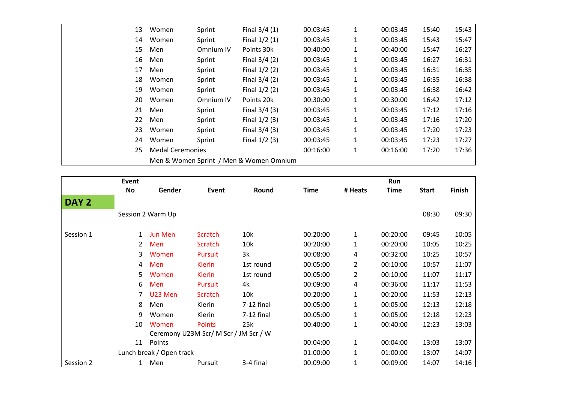| 13 | Women                                   | Sprint    | Final $3/4(1)$  | 00:03:45 | 1 | 00:03:45 | 15:40 | 15:43 |  |
|----|-----------------------------------------|-----------|-----------------|----------|---|----------|-------|-------|--|
| 14 | Women                                   | Sprint    | Final $1/2(1)$  | 00:03:45 | 1 | 00:03:45 | 15:43 | 15:47 |  |
| 15 | Men                                     | Omnium IV | Points 30k      | 00:40:00 | 1 | 00:40:00 | 15:47 | 16:27 |  |
| 16 | Men                                     | Sprint    | Final $3/4(2)$  | 00:03:45 | 1 | 00:03:45 | 16:27 | 16:31 |  |
| 17 | Men                                     | Sprint    | Final $1/2(2)$  | 00:03:45 | 1 | 00:03:45 | 16:31 | 16:35 |  |
| 18 | Women                                   | Sprint    | Final $3/4(2)$  | 00:03:45 | 1 | 00:03:45 | 16:35 | 16:38 |  |
| 19 | Women                                   | Sprint    | Final $1/2(2)$  | 00:03:45 | 1 | 00:03:45 | 16:38 | 16:42 |  |
| 20 | Women                                   | Omnium IV | Points 20k      | 00:30:00 | 1 | 00:30:00 | 16:42 | 17:12 |  |
| 21 | Men                                     | Sprint    | Final $3/4(3)$  | 00:03:45 | 1 | 00:03:45 | 17:12 | 17:16 |  |
| 22 | Men                                     | Sprint    | Final $1/2$ (3) | 00:03:45 | 1 | 00:03:45 | 17:16 | 17:20 |  |
| 23 | Women                                   | Sprint    | Final $3/4(3)$  | 00:03:45 | 1 | 00:03:45 | 17:20 | 17:23 |  |
| 24 | Women                                   | Sprint    | Final $1/2$ (3) | 00:03:45 | 1 | 00:03:45 | 17:23 | 17:27 |  |
| 25 | <b>Medal Ceremonies</b>                 |           |                 | 00:16:00 | 1 | 00:16:00 | 17:20 | 17:36 |  |
|    | Men & Women Sprint / Men & Women Omnium |           |                 |          |   |          |       |       |  |

|                          | Event |                   |                                       |            |             |                | Run      |              |               |
|--------------------------|-------|-------------------|---------------------------------------|------------|-------------|----------------|----------|--------------|---------------|
|                          | No    | Gender            | Event                                 | Round      | <b>Time</b> | # Heats        | Time     | <b>Start</b> | <b>Finish</b> |
| DAY <sub>2</sub>         |       |                   |                                       |            |             |                |          |              |               |
|                          |       | Session 2 Warm Up |                                       |            |             |                |          | 08:30        | 09:30         |
| Session 1                | 1     | Jun Men           | Scratch                               | 10k        | 00:20:00    | $\mathbf{1}$   | 00:20:00 | 09:45        | 10:05         |
|                          | 2     | Men               | Scratch                               | 10k        | 00:20:00    | 1              | 00:20:00 | 10:05        | 10:25         |
|                          | 3     | Women             | <b>Pursuit</b>                        | 3k         | 00:08:00    | 4              | 00:32:00 | 10:25        | 10:57         |
|                          | 4     | Men               | <b>Kierin</b>                         | 1st round  | 00:05:00    | 2              | 00:10:00 | 10:57        | 11:07         |
|                          | 5     | Women             | <b>Kierin</b>                         | 1st round  | 00:05:00    | $\overline{2}$ | 00:10:00 | 11:07        | 11:17         |
|                          | 6     | Men               | <b>Pursuit</b>                        | 4k         | 00:09:00    | 4              | 00:36:00 | 11:17        | 11:53         |
|                          | 7     | U23 Men           | Scratch                               | 10k        | 00:20:00    | 1              | 00:20:00 | 11:53        | 12:13         |
|                          | 8     | Men               | Kierin                                | 7-12 final | 00:05:00    | 1              | 00:05:00 | 12:13        | 12:18         |
|                          | 9     | Women             | Kierin                                | 7-12 final | 00:05:00    | 1              | 00:05:00 | 12:18        | 12:23         |
|                          | 10    | Women             | <b>Points</b>                         | 25k        | 00:40:00    | 1              | 00:40:00 | 12:23        | 13:03         |
|                          |       |                   | Ceremony U23M Scr/ M Scr / JM Scr / W |            |             |                |          |              |               |
|                          | 11    | Points            |                                       |            | 00:04:00    | 1              | 00:04:00 | 13:03        | 13:07         |
| Lunch break / Open track |       |                   |                                       |            | 01:00:00    | 1              | 01:00:00 | 13:07        | 14:07         |
| Session 2                | 1     | Men               | Pursuit                               | 3-4 final  | 00:09:00    | 1              | 00:09:00 | 14:07        | 14:16         |